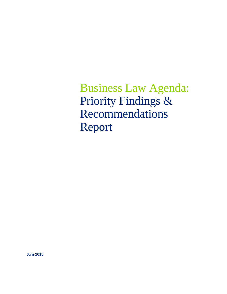Business Law Agenda: Priority Findings & Recommendations Report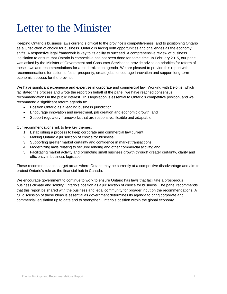# Letter to the Minister

Keeping Ontario's business laws current is critical to the province's competitiveness, and to positioning Ontario as a jurisdiction of choice for business. Ontario is facing both opportunities and challenges as the economy shifts. A responsive legal framework is key to its ability to succeed. A comprehensive review of business legislation to ensure that Ontario is competitive has not been done for some time. In February 2015, our panel was asked by the Minister of Government and Consumer Services to provide advice on priorities for reform of these laws and recommendations for a modernization agenda. We are pleased to provide this report with recommendations for action to foster prosperity, create jobs, encourage innovation and support long-term economic success for the province.

We have significant experience and expertise in corporate and commercial law. Working with Deloitte, which facilitated the process and wrote the report on behalf of the panel, we have reached consensus recommendations in the public interest. This legislation is essential to Ontario's competitive position, and we recommend a significant reform agenda to:

- Position Ontario as a leading business jurisdiction;
- Encourage innovation and investment, job creation and economic growth; and
- Support regulatory frameworks that are responsive, flexible and adaptable.

Our recommendations link to five key themes:

- 1. Establishing a process to keep corporate and commercial law current;
- 2. Making Ontario a jurisdiction of choice for business;
- 3. Supporting greater market certainty and confidence in market transactions;
- 4. Modernizing laws relating to secured lending and other commercial activity; and
- 5. Facilitating market activity and promoting small business growth through greater certainty, clarity and efficiency in business legislation.

These recommendations target areas where Ontario may be currently at a competitive disadvantage and aim to protect Ontario's role as the financial hub in Canada.

We encourage government to continue to work to ensure Ontario has laws that facilitate a prosperous business climate and solidify Ontario's position as a jurisdiction of choice for business. The panel recommends that this report be shared with the business and legal community for broader input on the recommendations. A full discussion of these ideas is essential as government determines its agenda to bring corporate and commercial legislation up to date and to strengthen Ontario's position within the global economy.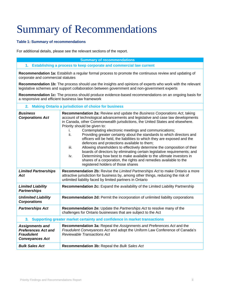# Summary of Recommendations

# **Table 1: Summary of recommendations**

For additional details, please see the relevant sections of the report.

#### **Summary of recommendations**

## **1. Establishing a process to keep corporate and commercial law current**

**Recommendation 1a:** Establish a regular formal process to promote the continuous review and updating of corporate and commercial statutes

**Recommendation 1b:** The process should use the insights and opinions of experts who work with the relevant legislative schemes and support collaboration between government and non-government experts

**Recommendation 1c:** The process should produce evidence-based recommendations on an ongoing basis for a responsive and efficient business law framework

## **2. Making Ontario a jurisdiction of choice for business**

| <b>Business</b><br><b>Corporations Act</b>                                                          | Recommendation 2a: Review and update the Business Corporations Act, taking<br>account of technological advancements and legislative and case law developments<br>in Canada, other Commonwealth jurisdictions, the United States and elsewhere.<br>Priority should be given to:<br>Contemplating electronic meetings and communications;<br>ii.<br>Providing greater certainty about the standards to which directors and<br>officers will be held, the liabilities to which they are exposed and the<br>defences and protections available to them;<br>iii.<br>Allowing shareholders to effectively determine the composition of their<br>boards of directors by eliminating certain legislative requirements; and<br>Determining how best to make available to the ultimate investors in<br>iv.<br>shares of a corporation, the rights and remedies available to the<br>registered holders of those shares |  |
|-----------------------------------------------------------------------------------------------------|-------------------------------------------------------------------------------------------------------------------------------------------------------------------------------------------------------------------------------------------------------------------------------------------------------------------------------------------------------------------------------------------------------------------------------------------------------------------------------------------------------------------------------------------------------------------------------------------------------------------------------------------------------------------------------------------------------------------------------------------------------------------------------------------------------------------------------------------------------------------------------------------------------------|--|
| <b>Limited Partnerships</b><br>Act                                                                  | Recommendation 2b: Revise the Limited Partnerships Act to make Ontario a more<br>attractive jurisdiction for business by, among other things, reducing the risk of<br>unlimited liability faced by limited partners in Ontario                                                                                                                                                                                                                                                                                                                                                                                                                                                                                                                                                                                                                                                                              |  |
| <b>Limited Liability</b><br><b>Partnerships</b>                                                     | Recommendation 2c: Expand the availability of the Limited Liability Partnership                                                                                                                                                                                                                                                                                                                                                                                                                                                                                                                                                                                                                                                                                                                                                                                                                             |  |
| <b>Unlimited Liability</b><br><b>Corporations</b>                                                   | Recommendation 2d: Permit the incorporation of unlimited liability corporations                                                                                                                                                                                                                                                                                                                                                                                                                                                                                                                                                                                                                                                                                                                                                                                                                             |  |
| <b>Partnerships Act</b>                                                                             | Recommendation 2e: Update the Partnerships Act to resolve many of the<br>challenges for Ontario businesses that are subject to the Act                                                                                                                                                                                                                                                                                                                                                                                                                                                                                                                                                                                                                                                                                                                                                                      |  |
| 3. Supporting greater market certainty and confidence in market transactions                        |                                                                                                                                                                                                                                                                                                                                                                                                                                                                                                                                                                                                                                                                                                                                                                                                                                                                                                             |  |
| <b>Assignments and</b><br><b>Preferences Act and</b><br><b>Fraudulent</b><br><b>Conveyances Act</b> | Recommendation 3a: Repeal the Assignments and Preferences Act and the<br>Fraudulent Conveyances Act and adopt the Uniform Law Conference of Canada's<br><b>Reviewable Transactions Act</b>                                                                                                                                                                                                                                                                                                                                                                                                                                                                                                                                                                                                                                                                                                                  |  |
| <b>Bulk Sales Act</b>                                                                               | Recommendation 3b: Repeal the Bulk Sales Act                                                                                                                                                                                                                                                                                                                                                                                                                                                                                                                                                                                                                                                                                                                                                                                                                                                                |  |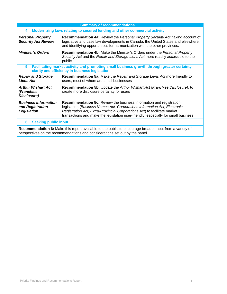| <b>Summary of recommendations</b>                                                                                                                                                      |                                                                                                                                                                                                                                                                                                                            |  |
|----------------------------------------------------------------------------------------------------------------------------------------------------------------------------------------|----------------------------------------------------------------------------------------------------------------------------------------------------------------------------------------------------------------------------------------------------------------------------------------------------------------------------|--|
| 4. Modernizing laws relating to secured lending and other commercial activity                                                                                                          |                                                                                                                                                                                                                                                                                                                            |  |
| <b>Personal Property</b><br><b>Security Act Review</b>                                                                                                                                 | <b>Recommendation 4a: Review the Personal Property Security Act, taking account of</b><br>legislative and case law developments in Canada, the United States and elsewhere,<br>and identifying opportunities for harmonization with the other provinces.                                                                   |  |
| <b>Minister's Orders</b>                                                                                                                                                               | Recommendation 4b: Make the Minister's Orders under the Personal Property<br>Security Act and the Repair and Storage Liens Act more readily accessible to the<br>public                                                                                                                                                    |  |
| Facilitating market activity and promoting small business growth through greater certainty,<br>5.<br>clarity and efficiency in business legislation                                    |                                                                                                                                                                                                                                                                                                                            |  |
| <b>Repair and Storage</b><br><b>Liens Act</b>                                                                                                                                          | <b>Recommendation 5a:</b> Make the Repair and Storage Liens Act more friendly to<br>users, most of whom are small businesses                                                                                                                                                                                               |  |
| <b>Arthur Wishart Act</b><br>(Franchise<br>Disclosure)                                                                                                                                 | <b>Recommendation 5b:</b> Update the Arthur Wishart Act (Franchise Disclosure), to<br>create more disclosure certainty for users                                                                                                                                                                                           |  |
| <b>Business Information</b><br>and Registration<br>Legislation                                                                                                                         | <b>Recommendation 5c:</b> Review the business information and registration<br>legislation (Business Names Act, Corporations Information Act, Electronic<br>Registration Act, Extra-Provincial Corporations Act) to facilitate market<br>transactions and make the legislation user-friendly, especially for small business |  |
| <b>Seeking public input</b><br>6.                                                                                                                                                      |                                                                                                                                                                                                                                                                                                                            |  |
| Recommendation 6: Make this report available to the public to encourage broader input from a variety of<br>perspectives on the recommendations and considerations set out by the panel |                                                                                                                                                                                                                                                                                                                            |  |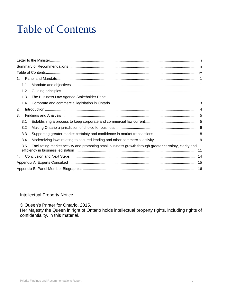# Table of Contents

| 1 <sub>1</sub>                                                                                                 |  |  |  |
|----------------------------------------------------------------------------------------------------------------|--|--|--|
| 1.1                                                                                                            |  |  |  |
| 1.2                                                                                                            |  |  |  |
| 1.3                                                                                                            |  |  |  |
| 1.4                                                                                                            |  |  |  |
| 2.                                                                                                             |  |  |  |
| 3.                                                                                                             |  |  |  |
| 3.1                                                                                                            |  |  |  |
| 3.2                                                                                                            |  |  |  |
| 3.3                                                                                                            |  |  |  |
| 3.4                                                                                                            |  |  |  |
| Facilitating market activity and promoting small business growth through greater certainty, clarity and<br>3.5 |  |  |  |
| 4.                                                                                                             |  |  |  |
|                                                                                                                |  |  |  |
|                                                                                                                |  |  |  |

Intellectual Property Notice

© Queen's Printer for Ontario, 2015.

Her Majesty the Queen in right of Ontario holds intellectual property rights, including rights of confidentiality, in this material.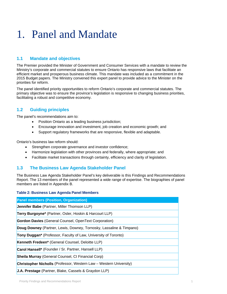# 1. Panel and Mandate

# **1.1 Mandate and objectives**

The Premier provided the Minister of Government and Consumer Services with a mandate to review the Ministry's corporate and commercial statutes to ensure Ontario has responsive laws that facilitate an efficient market and prosperous business climate. This mandate was included as a commitment in the 2015 Budget papers. The Ministry convened this expert panel to provide advice to the Minister on the priorities for reform.

The panel identified priority opportunities to reform Ontario's corporate and commercial statutes. The primary objective was to ensure the province's legislation is responsive to changing business priorities, facilitating a robust and competitive economy.

# **1.2 Guiding principles**

The panel's recommendations aim to:

- Position Ontario as a leading business jurisdiction;
- Encourage innovation and investment, job creation and economic growth; and
- Support regulatory frameworks that are responsive, flexible and adaptable.

Ontario's business law reform should:

- Strengthen corporate governance and investor confidence;
- Harmonize legislation with other provinces and federally, where appropriate; and
- Facilitate market transactions through certainty, efficiency and clarity of legislation.

# **1.3 The Business Law Agenda Stakeholder Panel**

The Business Law Agenda Stakeholder Panel's key deliverable is this Findings and Recommendations Report. The 13 members of the panel represented a wide range of expertise. The biographies of panel members are listed in Appendix B.

#### **Table 2: Business Law Agenda Panel Members**

| <b>Panel members (Position, Organization)</b>                             |
|---------------------------------------------------------------------------|
| Jennifer Babe (Partner, Miller Thomson LLP)                               |
| Terry Burgoyne* (Partner, Osler, Hoskin & Harcourt LLP)                   |
| <b>Gordon Davies</b> (General Counsel, OpenText Corporation)              |
| Doug Downey (Partner, Lewis, Downey, Tornosky, Lassaline & Timpano)       |
| Tony Duggan* (Professor, Faculty of Law, University of Toronto)           |
| Kenneth Fredeen* (General Counsel, Deloitte LLP)                          |
| Carol Hansell* (Founder / Sr. Partner, Hansell LLP)                       |
| <b>Sheila Murray</b> (General Counsel, CI Financial Corp)                 |
| <b>Christopher Nicholls</b> (Professor, Western Law – Western University) |
| J.A. Prestage (Partner, Blake, Cassels & Graydon LLP)                     |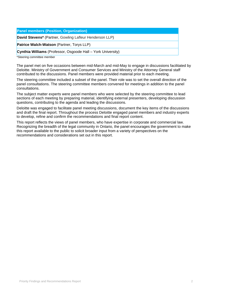| <b>Panel members (Position, Organization)</b>                |
|--------------------------------------------------------------|
| David Stevens* (Partner, Gowling Lafleur Henderson LLP)      |
| <b>Patrice Walch-Watson</b> (Partner, Torys LLP)             |
| Cynthia Williams (Professor, Osgoode Hall - York University) |
|                                                              |

\*Steering committee member

The panel met on five occasions between mid-March and mid-May to engage in discussions facilitated by Deloitte. Ministry of Government and Consumer Services and Ministry of the Attorney General staff contributed to the discussions. Panel members were provided material prior to each meeting.

The steering committee included a subset of the panel. Their role was to set the overall direction of the panel consultations. The steering committee members convened for meetings in addition to the panel consultations.

The subject matter experts were panel members who were selected by the steering committee to lead sections of each meeting by preparing material, identifying external presenters, developing discussion questions, contributing to the agenda and leading the discussions.

Deloitte was engaged to facilitate panel meeting discussions, document the key items of the discussions and draft the final report. Throughout the process Deloitte engaged panel members and industry experts to develop, refine and confirm the recommendations and final report content.

This report reflects the views of panel members, who have expertise in corporate and commercial law. Recognizing the breadth of the legal community in Ontario, the panel encourages the government to make this report available to the public to solicit broader input from a variety of perspectives on the recommendations and considerations set out in this report.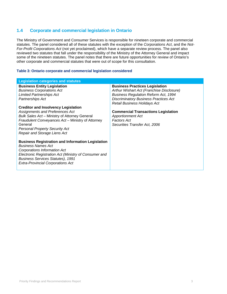# **1.4 Corporate and commercial legislation in Ontario**

The Ministry of Government and Consumer Services is responsible for nineteen corporate and commercial statutes. The panel considered all of these statutes with the exception of the *Corporations Act*, and the *Not-For-Profit Corporations Act* (not yet proclaimed), which have a separate review process. The panel also reviewed two statutes that fall under the responsibility of the Ministry of the Attorney General and impact some of the nineteen statutes. The panel notes that there are future opportunities for review of Ontario's other corporate and commercial statutes that were out of scope for this consultation.

#### **Table 3: Ontario corporate and commercial legislation considered**

| <b>Legislation categories and statutes</b>                                                                                                                                                                                                                                                                                                                                                               |                                                                                                                                                                                                                                                                                                                                                    |  |  |
|----------------------------------------------------------------------------------------------------------------------------------------------------------------------------------------------------------------------------------------------------------------------------------------------------------------------------------------------------------------------------------------------------------|----------------------------------------------------------------------------------------------------------------------------------------------------------------------------------------------------------------------------------------------------------------------------------------------------------------------------------------------------|--|--|
| <b>Business Entity Legislation</b><br><b>Business Corporations Act</b><br><b>Limited Partnerships Act</b><br>Partnerships Act<br><b>Creditor and Insolvency Legislation</b><br>Assignments and Preferences Act<br>Bulk Sales Act - Ministry of Attorney General<br>Fraudulent Conveyances Act - Ministry of Attorney<br>General<br><b>Personal Property Security Act</b><br>Repair and Storage Liens Act | <b>Business Practices Legislation</b><br>Arthur Wishart Act (Franchise Disclosure)<br><b>Business Regulation Reform Act, 1994</b><br><b>Discriminatory Business Practices Act</b><br>Retail Business Holidays Act<br><b>Commercial Transactions Legislation</b><br><b>Apportionment Act</b><br><b>Factors Act</b><br>Securities Transfer Act, 2006 |  |  |
| <b>Business Registration and Information Legislation</b><br><b>Business Names Act</b><br>Corporations Information Act<br>Electronic Registration Act (Ministry of Consumer and<br><b>Business Services Statutes), 1991</b><br><b>Extra-Provincial Corporations Act</b>                                                                                                                                   |                                                                                                                                                                                                                                                                                                                                                    |  |  |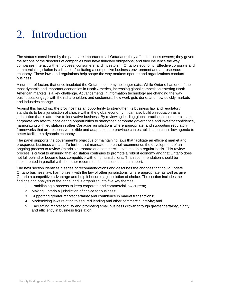# 2. Introduction

The statutes considered by the panel are important to all Ontarians; they affect business owners; they govern the actions of the directors of companies who have fiduciary obligations; and they influence the way companies interact with employees, consumers, and investors in Ontario's economy. Effective corporate and commercial legislation is critical for facilitating a competitive business environment and a prosperous economy. These laws and regulations help shape the way markets operate and organizations conduct business.

A number of factors that once insulated the Ontario economy no longer exist. While Ontario has one of the most dynamic and important economies in North America, increasing global competition entering North American markets is a key challenge. Advancements in information technology are changing the way businesses engage with their shareholders and customers, how work gets done, and how quickly markets and industries change.

Against this backdrop, the province has an opportunity to strengthen its business law and regulatory standards to be a jurisdiction of choice within the global economy. It can also build a reputation as a jurisdiction that is attractive to innovative business. By reviewing leading global practices in commercial and corporate law reform, considering opportunities to strengthen corporate governance and investor confidence, harmonizing with legislation in other Canadian jurisdictions where appropriate, and supporting regulatory frameworks that are responsive, flexible and adaptable, the province can establish a business law agenda to better facilitate a dynamic economy.

The panel supports the government's objective of maintaining laws that facilitate an efficient market and prosperous business climate. To further that mandate, the panel recommends the development of an ongoing process to review Ontario's corporate and commercial statutes on a regular basis. This review process is critical to ensuring that legislation continues to promote a robust economy and that Ontario does not fall behind or become less competitive with other jurisdictions. This recommendation should be implemented in parallel with the other recommendations set out in this report.

The next section identifies a series of recommendations and describes the changes that could update Ontario business law, harmonize it with the law of other jurisdictions, where appropriate, as well as give Ontario a competitive advantage and help it become a jurisdiction of choice. The section includes the findings and analysis of the panel and is organized into five key themes:

- 1. Establishing a process to keep corporate and commercial law current;
- 2. Making Ontario a jurisdiction of choice for business;
- 3. Supporting greater market certainty and confidence in market transactions;
- 4. Modernizing laws relating to secured lending and other commercial activity; and
- 5. Facilitating market activity and promoting small business growth through greater certainty, clarity and efficiency in business legislation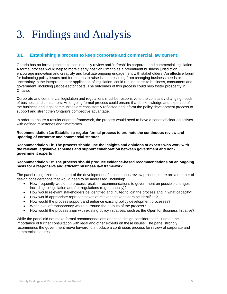# 3. Findings and Analysis

# **3.1 Establishing a process to keep corporate and commercial law current**

Ontario has no formal process to continuously review and "refresh" its corporate and commercial legislation. A formal process would help to more clearly position Ontario as a preeminent business jurisdiction, encourage innovation and creativity and facilitate ongoing engagement with stakeholders. An effective forum for balancing policy issues and for experts to raise issues resulting from changing business needs or uncertainty in the interpretation or application of legislation, could reduce costs to business, consumers and government, including justice-sector costs. The outcomes of this process could help foster prosperity in Ontario.

Corporate and commercial legislation and regulations must be responsive to the constantly changing needs of business and consumers. An ongoing formal process could ensure that the knowledge and expertise of the business and legal communities are consistently reflected and inform the policy development process to support and strengthen Ontario's competitive advantage.

In order to ensure a results-oriented framework, the process would need to have a series of clear objectives with defined milestones and timeframes

#### **Recommendation 1a: Establish a regular formal process to promote the continuous review and updating of corporate and commercial statutes**

**Recommendation 1b: The process should use the insights and opinions of experts who work with the relevant legislative schemes and support collaboration between government and nongovernment experts** 

## **Recommendation 1c: The process should produce evidence-based recommendations on an ongoing basis for a responsive and efficient business law framework**

The panel recognized that as part of the development of a continuous review process, there are a number of design considerations that would need to be addressed, including:

- How frequently would the process result in recommendations to government on possible changes, including to legislation and / or regulations (e.g., annually)?
- How would relevant stakeholders be identified and invited to join the process and in what capacity?
- How would appropriate representatives of relevant stakeholders be identified?
- How would the process support and enhance existing policy development processes?
- What level of transparency would surround the outputs of the process?
- How would the process align with existing policy initiatives, such as the Open for Business Initiative?

While the panel did not make formal recommendations on these design considerations, it noted the importance of further consultation with legal and other experts on these issues. The panel strongly recommends the government move forward to introduce a continuous process for review of corporate and commercial statutes.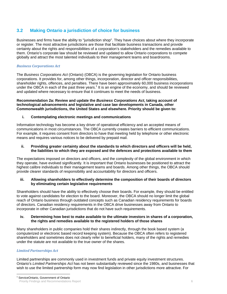# **3.2 Making Ontario a jurisdiction of choice for business**

Businesses and firms have the ability to "jurisdiction shop". They have choices about where they incorporate or register. The most attractive jurisdictions are those that facilitate business transactions and provide certainty about the rights and responsibilities of a corporation's stakeholders and the remedies available to them. Ontario's corporate law should be reviewed and updated to allow Ontario corporations to compete globally and attract the most talented individuals to their management teams and boardrooms.

# *Business Corporations Act*

The *Business Corporations Act* (Ontario) (OBCA) is the governing legislation for Ontario business corporations. It provides for, among other things, incorporation, director and officer responsibilities, shareholder rights, offences, and penalties. There have been approximately 60,000 business incorporations under the OBCA in each of the past three years.<sup>1</sup> It is an engine of the economy, and should be reviewed and updated where necessary to ensure that it continues to meet the needs of business.

#### **Recommendation 2a: Review and update the** *Business Corporations Act***, taking account of technological advancements and legislative and case law developments in Canada, other Commonwealth jurisdictions, the United States and elsewhere. Priority should be given to:**

## **i. Contemplating electronic meetings and communications**

Information technology has become a key driver of operational efficiency and an accepted means of communications in most circumstances. The OBCA currently creates barriers to efficient communications. For example, it requires consent from directors to have that meeting held by telephone or other electronic means and requires various notices to be delivered by prepaid mail.

#### **ii. Providing greater certainty about the standards to which directors and officers will be held, the liabilities to which they are exposed and the defences and protections available to them**

The expectations imposed on directors and officers, and the complexity of the global environment in which they operate, have evolved significantly. It is important that Ontario businesses be positioned to attract the highest calibre individuals to their management teams and boards. Among other things, the OBCA should provide clearer standards of responsibility and accountability for directors and officers.

#### **iii. Allowing shareholders to effectively determine the composition of their boards of directors by eliminating certain legislative requirements**

Shareholders should have the ability to effectively choose their boards. For example, they should be entitled to vote against candidates for election to the board. Moreover, the OBCA should no longer limit the global reach of Ontario business through outdated concepts such as Canadian residency requirements for boards of directors. Canadian residency requirements in the OBCA drive businesses away from Ontario to incorporate in other Canadian jurisdictions that do not have such requirements.

#### **iv. Determining how best to make available to the ultimate investors in shares of a corporation, the rights and remedies available to the registered holders of those shares**

Many shareholders in public companies hold their shares indirectly, through the book based system (a computerized or electronic based record keeping system). Because the OBCA often refers to registered shareholders and sometimes does not clearly refer to beneficial holders, many of the rights and remedies under the statute are not available to the true owner of the shares.

# *Limited Partnerships Act*

Limited partnerships are commonly used in investment funds and private equity investment structures. Ontario's *Limited Partnerships Act* has not been substantially reviewed since the 1980s, and businesses that wish to use the limited partnership form may now find legislation in other jurisdictions more attractive. For

 $\overline{a}$ 1 ServiceOntario, Government of Ontario

Priority Findings and Recommendations Report 6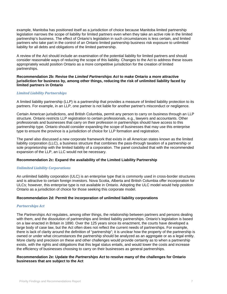example, Manitoba has positioned itself as a jurisdiction of choice because Manitoba limited partnership legislation narrows the scope of liability for limited partners even when they take an active role in the limited partnership's business. The effect of Ontario's legislation in such circumstances is less certain, and limited partners who take part in the control of an Ontario limited partnership business risk exposure to unlimited liability for all debts and obligations of the limited partnership.

A review of the Act should include an examination of the potential liability for limited partners and should consider reasonable ways of reducing the scope of this liability. Changes to the Act to address these issues appropriately would position Ontario as a more competitive jurisdiction for the creation of limited partnerships.

#### **Recommendation 2b: Revise the** *Limited Partnerships Act* **to make Ontario a more attractive jurisdiction for business by, among other things, reducing the risk of unlimited liability faced by limited partners in Ontario**

## *Limited Liability Partnerships*

A limited liability partnership (LLP) is a partnership that provides a measure of limited liability protection to its partners. For example, in an LLP, one partner is not liable for another partner's misconduct or negligence.

Certain American jurisdictions, and British Columbia, permit any person to carry on business through an LLP structure. Ontario restricts LLP registration to certain professionals, e.g., lawyers and accountants. Other professionals and businesses that carry on their profession in partnerships should have access to this partnership type. Ontario should consider expanding the scope of businesses that may use this enterprise type to ensure the province is a jurisdiction of choice for LLP formation and registration.

The panel also discussed a new corporate framework that exists in all American states known as the limited liability corporation (LLC), a business structure that combines the pass-through taxation of a partnership or sole proprietorship with the limited liability of a corporation. The panel concluded that with the recommended expansion of the LLP, an LLC would not be necessary.

#### **Recommendation 2c: Expand the availability of the Limited Liability Partnership**

#### *Unlimited Liability Corporations*

An unlimited liability corporation (ULC) is an enterprise type that is commonly used in cross-border structures and is attractive to certain foreign investors. Nova Scotia, Alberta and British Columbia offer incorporation for ULCs; however, this enterprise type is not available in Ontario. Adopting the ULC model would help position Ontario as a jurisdiction of choice for those seeking this corporate model.

#### **Recommendation 2d: Permit the incorporation of unlimited liability corporations**

#### *Partnerships Act*

The *Partnerships Act* regulates, among other things, the relationship between partners and persons dealing with them, and the dissolution of partnerships and limited liability partnerships. Ontario's legislation is based on a law enacted in Britain in 1890. Over the 125 years since its enactment, the courts have developed a large body of case law, but the Act often does not reflect the current needs of partnerships. For example, there is lack of clarity around the definition of "partnership"; it is unclear how the property of the partnership is owned or under what circumstances the partnership should be analyzed as an aggregate or as a legal entity. More clarity and precision on these and other challenges would provide certainty as to when a partnership exists, with the rights and obligations that this legal status entails, and would lower the costs and increase the efficiency of businesses choosing to carry on their businesses as general partnerships.

#### **Recommendation 2e: Update the** *Partnerships Act* **to resolve many of the challenges for Ontario businesses that are subject to the Act**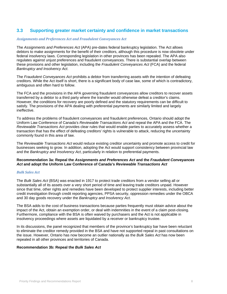# **3.3 Supporting greater market certainty and confidence in market transactions**

# *Assignments and Preferences Act and Fraudulent Conveyances Act*

The *Assignments and Preferences Act* (APA) pre-dates federal bankruptcy legislation. The Act allows debtors to make assignments for the benefit of their creditors, although this procedure is now obsolete under federal insolvency laws. Corresponding legislation in other provinces has been repealed. The APA also regulates against unjust preferences and fraudulent conveyances. There is substantial overlap between these provisions and other legislation, including the *Fraudulent Conveyances Act* (FCA) and the federal *Bankruptcy and Insolvency Act*.

The *Fraudulent Conveyances Act* prohibits a debtor from transferring assets with the intention of defeating creditors. While the Act itself is short, there is a significant body of case law, some of which is contradictory, ambiguous and often hard to follow.

The FCA and the provisions in the APA governing fraudulent conveyances allow creditors to recover assets transferred by a debtor to a third party where the transfer would otherwise defeat a creditor's claims. However, the conditions for recovery are poorly defined and the statutory requirements can be difficult to satisfy. The provisions of the APA dealing with preferential payments are similarly limited and largely ineffective.

To address the problems of fraudulent conveyances and fraudulent preferences, Ontario should adopt the Uniform Law Conference of Canada's *Reviewable Transactions Act* and repeal the APA and the FCA. The *Reviewable Transactions Act* provides clear rules that would enable parties to accurately assess whether a transaction that has the effect of defeating creditors' rights is vulnerable to attack, reducing the uncertainty commonly found in this area of law.

The *Reviewable Transactions Act* would reduce existing creditor uncertainty and promote access to credit for businesses seeking to grow. In addition, adopting the Act would support consistency between provincial law and the *Bankruptcy and Insolvency Act*, particularly in relation to preferential payments.

#### **Recommendation 3a: Repeal the** *Assignments and Preferences Act* **and the** *Fraudulent Conveyances Act* **and adopt the Uniform Law Conference of Canada's** *Reviewable Transactions Act*

#### *Bulk Sales Act*

The *Bulk Sales Act* (BSA) was enacted in 1917 to protect trade creditors from a vendor selling all or substantially all of its assets over a very short period of time and leaving trade creditors unpaid. However since that time, other rights and remedies have been developed to protect supplier interests, including better credit investigation through credit reporting agencies, PPSA security, oppression remedies under the OBCA and 30 day goods recovery under the *Bankruptcy and Insolvency Act*.

The BSA adds to the cost of business transactions because parties frequently must obtain advice about the impact of the Act, obtain an exemption order, or deal with indemnities in the event of a claim post-closing. Furthermore, compliance with the BSA is often waived by purchasers and the Act is not applicable in insolvency proceedings where assets are liquidated by a receiver or bankruptcy trustee.

In its discussions, the panel recognized that members of the province's bankruptcy bar have been reluctant to eliminate the creditor remedy provided in the BSA and have not supported repeal in past consultations on the issue. However, Ontario has now become an outlier nationally as the *Bulk Sales Act* has now been repealed in all other provinces and territories of Canada.

#### **Recommendation 3b: Repeal the** *Bulk Sales Act*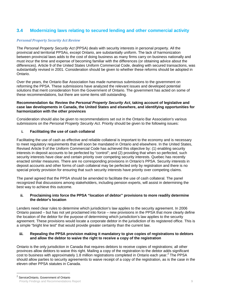# **3.4 Modernizing laws relating to secured lending and other commercial activity**

#### *Personal Property Security Act Review*

The *Personal Property Security Act* (PPSA) deals with security interests in personal property. All the provincial and territorial PPSAs, except Ontario, are substantially uniform. The lack of harmonization between provincial laws adds to the cost of doing business as many firms carry on business nationally and must incur the time and expense of becoming familiar with the differences (or obtaining advice about the differences). Article 9 of the United States Uniform Commercial Code, dealing with secured transactions, was substantially revised in 2001. Consideration should be given to whether these reforms should be adopted in Ontario.

Over the years, the Ontario Bar Association has made numerous submissions to the government on reforming the PPSA. These submissions have analyzed the relevant issues and developed potential solutions that merit consideration from the Government of Ontario. The government has acted on some of these recommendations, but there are some items still outstanding.

#### **Recommendation 4a: Review the** *Personal Property Security Act***, taking account of legislative and case law developments in Canada, the United States and elsewhere, and identifying opportunities for harmonization with the other provinces**

Consideration should also be given to recommendations set out in the Ontario Bar Association's various submissions on the *Personal Property Security Act*. Priority should be given to the following issues:

# **i. Facilitating the use of cash collateral**

Facilitating the use of cash as effective and reliable collateral is important to the economy and is necessary to meet regulatory requirements that will soon be mandated in Ontario and elsewhere. In the United States, Revised Article 9 of the Uniform Commercial Code has achieved this objective by: (1) enabling security interests in deposit accounts to be perfected by "control"; and (2) providing that when so perfected, such security interests have clear and certain priority over competing security interests. Quebec has recently enacted similar measures. There are no corresponding provisions in Ontario's PPSA. Security interests in deposit accounts and other forms of cash collateral may be perfected only by registration and there is no special priority provision for ensuring that such security interests have priority over competing claims.

The panel agreed that the PPSA should be amended to facilitate the use of cash collateral. The panel recognized that discussions among stakeholders, including pension experts, will assist in determining the best way to achieve this outcome.

## **ii. Proclaiming into force the PPSA "location of debtor" provisions to more readily determine the debtor's location**

Lenders need clear rules to determine which jurisdiction's law applies to the security agreement. In 2006 Ontario passed – but has not yet proclaimed into force – new provisions in the PPSA that more clearly define the location of the debtor for the purpose of determining which jurisdiction's law applies to the security agreement. These provisions would locate a corporate debtor in the jurisdiction of its registered office. This is a simple "bright line test" that would provide greater certainty than the current law.

#### **iii. Repealing the PPSA provision making it mandatory to give copies of registrations to debtors and allow the debtor to waive the right to receive a copy of the registration**

Ontario is the only jurisdiction in Canada that requires debtors to receive copies of registrations; all other provinces allow debtors to waive this right. Mailing a copy of the registration to the debtor adds significant  $\overline{\text{cost}}$  to business with approximately 1.8 million registrations completed in Ontario each year.<sup>2</sup> The PPSA should allow parties to security agreements to waive receipt of a copy of the registration, as is the case in the eleven other PPSA statutes in Canada.

 $\overline{a}$ 

Priority Findings and Recommendations Report 9 ServiceOntario, Government of Ontario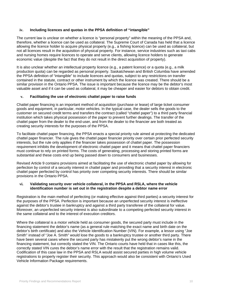## **iv. Including licences and quotas in the PPSA definition of "intangible"**

The current law is unclear on whether a licence is "personal property" within the meaning of the PPSA and, therefore, whether a licence can be used as collateral. The Supreme Court of Canada has held that a licence allowing the licence holder to acquire physical property (e.g., a fishing licence) can be used as collateral, but not all licences result in the acquisition of physical property. For instance, service industries such as taxi cabs and nursing homes require licences to operate and serve clients, allowing licence holders to generate economic value (despite the fact that they do not result in the direct acquisition of property).

It is also unclear whether an intellectual property licence (e.g., a patent licence) or a quota (e.g., a milk production quota) can be regarded as personal property. Saskatchewan and British Columbia have amended the PPSA definition of "intangible" to include licences and quotas, subject to any restrictions on transfer contained in the statute, contract or other instrument by which the licence was created. There should be a similar provision in the Ontario PPSA. The issue is important because the licence may be the debtor's most valuable asset and if it can be used as collateral, it may be cheaper and easier for debtors to obtain credit.

#### **v. Facilitating the use of electronic chattel paper to raise funds**

Chattel paper financing is an important method of acquisition (purchase or lease) of large ticket consumer goods and equipment, in particular, motor vehicles. In the typical case, the dealer sells the goods to the customer on secured credit terms and transfers the contract (called "chattel paper") to a third party financial institution which takes physical possession of the paper to prevent further dealings. The transfer of the chattel paper from the dealer to the end-user, and from the dealer to the financier are both treated as creating security interests for the purposes of the PPSA.

To facilitate chattel paper financing, the PPSA enacts a special priority rule aimed at protecting the dedicated chattel paper financier. The rule gives the chattel paper financier priority over certain prior perfected security interests, but the rule only applies if the financier takes possession of chattel paper. The possession requirement inhibits the development of electronic chattel paper and it means that chattel paper financiers must continue to rely on printed forms. The costs of generating, processing and storing printed forms are substantial and these costs end up being passed down to consumers and businesses.

Revised Article 9 contains provisions aimed at facilitating the use of electronic chattel paper by allowing for perfection by control of a security interest in chattel paper and providing that a security interest in electronic chattel paper perfected by control has priority over competing security interests. There should be similar provisions in the Ontario PPSA.

#### **vi. Validating security over vehicle collateral, in the PPSA and RSLA, where the vehicle identification number is set out in the registration despite a debtor name error**

Registration is the main method of perfecting (or making effective against third parties) a security interest for the purposes of the PPSA. Perfection is important because an unperfected security interest is ineffective against the debtor's trustee in bankruptcy and against a third party transferee of the collateral for value. Moreover, an unperfected security interest is also subordinate to a competing perfected security interest in the same collateral and to the interest of execution creditors.

Where the collateral is a motor vehicle held as consumer goods, the secured party must include in the financing statement the debtor's name (as a general rule matching the exact name and birth date on the debtor's birth certificate) and also the Vehicle Identification Number (VIN). For example, a lessor using "Joe Smith" instead of "Joe A. Smith" would lose the goods to a bankruptcy trustee or another third party. There have been several cases where the secured party has mistakenly put the wrong debtor's name in the financing statement, but correctly stated the VIN. The Ontario courts have held that in cases like this, the correctly stated VIN cures the debtor's name error with the result that the registration remains valid. Codification of this case law in the PPSA and RSLA would assist secured parties in high volume vehicle registrations to properly register their security. This approach would also be consistent with Ontario's Used Vehicle Information Package requirements.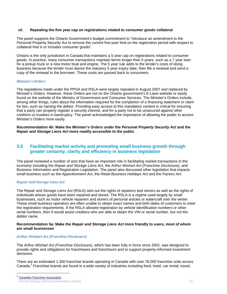#### **vii. Repealing the five year cap on registrations related to consumer goods collateral**

The panel supports the Ontario Government's budget commitment to "introduce an amendment to the Personal Property Security Act to remove the current five-year limit on the registration period with respect to collateral that is or includes consumer goods".

Ontario is the only jurisdiction in Canada that maintains a 5 year cap on registrations related to consumer goods. In practice, many consumer transactions maintain terms longer than 5 years, such as a 7 year loan for a pickup truck or a new motor boat and engine. The 5 year rule adds to the lender's costs of doing business because the lender must diarize the statutory 5 year expiry date, then file a renewal and send a copy of the renewal to the borrower. These costs are passed back to consumers.

#### *Minister's Orders*

The regulations made under the PPSA and RSLA were largely repealed in August 2007 and replaced by Minister's Orders. However, these Orders are not on the Ontario government's E-Laws website or easily found on the website of the Ministry of Government and Consumer Services. The Minister's Orders include, among other things, rules about the information required for the completion of a financing statement or claim for lien, such as naming the debtor. Providing easy access to this mandatory content is critical for ensuring that a party can properly register a security interest, and for a party not to be unsecured against other creditors or trustees in bankruptcy. The panel acknowledged the importance of allowing the public to access Minister's Orders more easily.

**Recommendation 4b: Make the Minister's Orders under the** *Personal Property Security Act* **and the**  *Repair and Storage Liens Act* **more readily accessible to the public** 

# **3.5 Facilitating market activity and promoting small business growth through greater certainty, clarity and efficiency in business legislation**

The panel reviewed a number of acts that have an important role in facilitating market transactions in the economy including the *Repair and Storage Liens Act*, the *Arthur Wishart Act (Franchise Disclosure)*, and Business Information and Registration Legislation. The panel also discussed other legislation that impacts small business such as the *Apportionment Act*, the *Retail Business Holidays Act* and the *Factors Act*.

#### *Repair and Storage Liens Act*

The *Repair and Storage Liens Act* (RSLA) sets out the rights of repairers and storers as well as the rights of individuals whose goods have been repaired and stored. The RSLA is a regime used largely by small businesses, such as motor vehicle repairers and storers of personal articles or watercraft over the winter. These small business operators are often unable to obtain exact names and birth dates of customers to meet the registration requirements. If the RSLA allowed registration by vehicle identification numbers or other serial numbers, then it would assist creditors who are able to obtain the VIN or serial number, but not the debtor name.

## **Recommendation 5a: Make the** *Repair and Storage Liens Act* **more friendly to users, most of whom are small businesses**

# *Arthur Wishart Act (Franchise Disclosure)*

The *Arthur Wishart Act (Franchise Disclosure),* which has been fully in force since 2001, was designed to provide rights and obligations for franchisees and franchisors and to support properly-informed investment decisions.

There are an estimated 1,300 franchise brands operating in Canada with over 78,000 franchise units across Canada.<sup>3</sup> Franchise brands are found in a wide variety of industries including food, hotel, car rental, travel,

 $\overline{a}$ 

Priority Findings and Recommendations Report 11 and 2008 12 and 2008 12 and 2008 12 and 2008 12 and 2008 12 and 2008 12 and 2008 12 and 2008 12 and 2008 12 and 2008 12 and 2008 12 and 2008 12 and 2008 12 and 2008 12 and 20 **Canadian Franchise Association**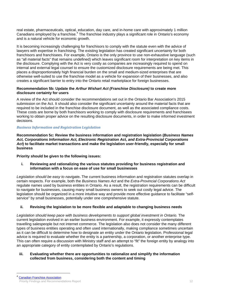real estate, pharmaceuticals, optical, education, day care, and in-home care with approximately 1 million Canadians employed by a franchise.<sup>4</sup> The franchise industry plays a significant role in Ontario's economy and is a natural vehicle for economic growth.

It is becoming increasingly challenging for franchisors to comply with the statute even with the advice of lawyers with expertise in franchising. The existing legislation has created significant uncertainty for both franchisors and franchisees. For example, Ontario is the only province to use non-exhaustive language (such as "all material facts" that remains undefined) which leaves significant room for interpretation on key items in the disclosure. Complying with the Act is very costly as companies are increasingly required to spend on internal and external legal counsel to ensure the customized disclosure requirements are being met. This places a disproportionately high financial burden on the small and medium-sized enterprises that are otherwise well-suited to use the franchise model as a vehicle for expansion of their businesses, and also creates a significant barrier to entry into the Ontario retail marketplace for foreign businesses.

#### **Recommendation 5b: Update the** *Arthur Wishart Act (Franchise Disclosure)* **to create more disclosure certainty for users**

A review of the Act should consider the recommendations set out in the Ontario Bar Association's 2015 submission on the Act. It should also consider the significant uncertainty around the material facts that are required to be included in the franchise disclosure document, as well as the associated compliance costs. These costs are borne by both franchisors working to comply with disclosure requirements and franchisees working to obtain proper advice on the resulting disclosure documents, in order to make informed investment decisions.

# *Business Information and Registration Legislation*

**Recommendation 5c: Review the business information and registration legislation (***Business Names Act, Corporations Information Act, Electronic Registration Act, and Extra-Provincial Corporations Act***) to facilitate market transactions and make the legislation user-friendly, especially for small business** 

**Priority should be given to the following issues:** 

**i. Reviewing and rationalizing the various statutes providing for business registration and information with a focus on ease of use for small businesses** 

*Legislation should be easy to navigate***.** The current business information and registration statutes overlap in certain respects. For example, both the *Business Names Act* and the *Extra-Provincial Corporations Act* regulate names used by business entities in Ontario. As a result, the registration requirements can be difficult to navigate for businesses, causing many small business owners to seek out costly legal advice. The legislation should be organized in a more intuitive way and provide more effective guidance to facilitate "selfservice" by small businesses, potentially under one comprehensive statute.

# **ii. Revising the legislation to be more flexible and adaptable to changing business needs**

*Legislation should keep pace with business developments to support global investment in Ontario.* The current legislation evolved in an earlier business environment. For example, it expressly contemplates travelling salespeople but not internet commerce. The legislation also does not consider the many different types of business entities operating and often used internationally, making compliance sometimes uncertain as it can be difficult to determine how to designate an entity under the Ontario legislation. Professional legal advice is required to evaluate whether the entity is a partnership, a corporation, or another enterprise type. This can often require a discussion with Ministry staff and an attempt to "fit" the foreign entity by analogy into an appropriate category of entity contemplated by Ontario's regulations.

## **iii. Evaluating whether there are opportunities to rationalize and simplify the information collected from business, considering both the content and timing**

 $\overline{a}$ 

Priority Findings and Recommendations Report 12 **Canadian Franchise Association**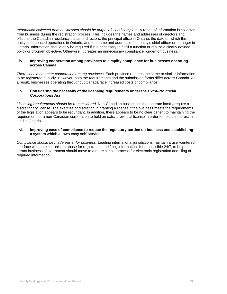*Information collected from businesses should be purposeful and complete.* A range of information is collected from business during the registration process. This includes the names and addresses of directors and officers, the Canadian residency status of directors, the principal office in Ontario, the date on which the entity commenced operations in Ontario, and the name and address of the entity's chief officer or manager in Ontario. Information should only be required if it is necessary to fulfill a function or realize a clearly defined policy or program objective. Otherwise, it creates an unnecessary compliance burden on business.

#### **iv. Improving cooperation among provinces to simplify compliance for businesses operating across Canada**

*There should be better cooperation among provinces.* Each province requires the same or similar information to be registered publicly. However, both the requirements and the submission forms differ across Canada. As a result, businesses operating throughout Canada face increased costs of compliance.

#### **v. Considering the necessity of the licensing requirements under the** *Extra-Provincial Corporations Act*

*Licensing requirements should be re-considered.* Non-Canadian businesses that operate locally require a discretionary license. The exercise of discretion in granting a license if the business meets the requirements of the legislation appears to be redundant. In addition, there appears to be no clear benefit to maintaining the requirement for a non-Canadian corporation to hold an extra-provincial license in order to hold an interest in land in Ontario.

#### **vi. Improving ease of compliance to reduce the regulatory burden on business and establishing a system which allows easy self-service**

*Compliance should be made easier for business.* Leading international jurisdictions maintain a user-centered interface with an electronic database for registration and filing information. It is accessible 24/7, to help attract business. Government should move to a more simple process for electronic registration and filing of required information.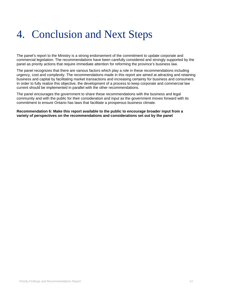# 4. Conclusion and Next Steps

The panel's report to the Ministry is a strong endorsement of the commitment to update corporate and commercial legislation. The recommendations have been carefully considered and strongly supported by the panel as priority actions that require immediate attention for reforming the province's business law.

The panel recognizes that there are various factors which play a role in these recommendations including urgency, cost and complexity. The recommendations made in this report are aimed at attracting and retaining business and capital by facilitating market transactions and increasing certainty for business and consumers. In order to fully realize this objective, the development of a process to keep corporate and commercial law current should be implemented in parallel with the other recommendations.

The panel encourages the government to share these recommendations with the business and legal community and with the public for their consideration and input as the government moves forward with its commitment to ensure Ontario has laws that facilitate a prosperous business climate.

**Recommendation 6: Make this report available to the public to encourage broader input from a variety of perspectives on the recommendations and considerations set out by the panel**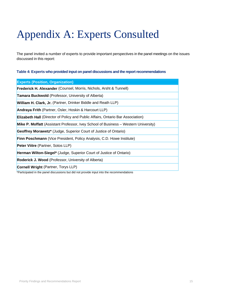# Appendix A: Experts Consulted

The panel invited a number of experts to provide important perspectives in the panel meetings on the issues discussed in this report:

## **Table 4: Experts who provided input on panel discussions and the report recommendations**

| <b>Experts (Position, Organization)</b>                                                    |
|--------------------------------------------------------------------------------------------|
| <b>Frederick H. Alexander</b> (Counsel, Morris, Nichols, Arsht & Tunnell)                  |
| <b>Tamara Buckwold</b> (Professor, University of Alberta)                                  |
| <b>William H. Clark, Jr.</b> (Partner, Drinker Biddle and Reath LLP)                       |
| Andraya Frith (Partner, Osler, Hoskin & Harcourt LLP)                                      |
| <b>Elizabeth Hall</b> (Director of Policy and Public Affairs, Ontario Bar Association)     |
| <b>Mike P. Moffatt</b> (Assistant Professor, Ivey School of Business – Western University) |
| Geoffrey Morawetz <sup>*</sup> (Judge, Superior Court of Justice of Ontario)               |
| Finn Poschmann (Vice President, Policy Analysis, C.D. Howe Institute)                      |
| Peter Viitre (Partner, Sotos LLP)                                                          |
| Herman Wilton-Siegel* (Judge, Superior Court of Justice of Ontario)                        |
| Roderick J. Wood (Professor, University of Alberta)                                        |
| <b>Cornell Wright (Partner, Torys LLP)</b>                                                 |
| *Participated in the panel discussions but did not provide input into the recommendations  |

Priority Findings and Recommendations Report 15 and 15 and 15 and 15 and 15 and 15 and 15 and 15 and 15 and 15 and 15 and 15 and 15 and 15 and 16 and 16 and 16 and 16 and 16 and 16 and 16 and 16 and 16 and 16 and 16 and 16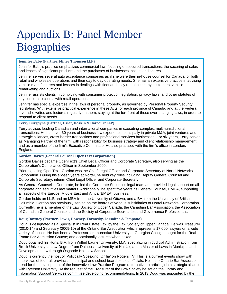# Appendix B: Panel Member **Biographies**

# **Jennifer Babe (Partner, Miller Thomson LLP)**

Jennifer Babe's practice emphasizes commercial law, focusing on secured transactions, the securing of sales and leases of significant products and the purchases of businesses, assets and shares.

Jennifer serves several auto acceptance companies as if she were their in-house counsel for Canada for both retail and wholesale operations and their day to day operating needs. She has an extensive practice in advising vehicle manufacturers and lessors in dealings with fleet and daily rental company customers, vehicle remarketing and auctions.

Jennifer assists clients in complying with consumer protection legislation, privacy laws, and other statutes of key concern to clients with retail operations.

Jennifer has special expertise in the laws of personal property, as governed by Personal Property Security legislation. With extensive practical experience in these Acts for each province of Canada, and at the Federal level, she writes and lectures regularly on them, staying at the forefront of these ever-changing laws, in order to respond to client needs.

**Terry Burgoyne (Partner, Osler, Hoskin & Harcourt LLP)**

Terry advises leading Canadian and international companies in executing complex, multi-jurisdictional transactions. He has over 30 years of business law experience, principally in private M&A, joint ventures and strategic alliances, cross-border transactions and professional services businesses. For six years, Terry served as Managing Partner of the firm, with responsibility for business strategy and client relationship management, and as a member of the firm's Executive Committee. He also practised with the firm's office in London, England.

**Gordon Davies (General Counsel, OpenText Corporation)**

Gordon Davies became OpenText's Chief Legal Officer and Corporate Secretary, also serving as the Corporation's Compliance Officer in September 2009.

Prior to joining OpenText, Gordon was the Chief Legal Officer and Corporate Secretary of Nortel Networks Corporation. During his sixteen years at Nortel, he held key roles including Deputy General Counsel and Corporate Secretary, interim Chief Legal Officer and Corporate Secretary.

As General Counsel— Corporate, he led the Corporate Securities legal team and provided legal support on all corporate and securities law matters. Additionally, he spent five years as General Counsel, EMEA, supporting all aspects of the Europe, Middle East and Africa (EMEA) business.

Gordon holds an LL.B and an MBA from the University of Ottawa, and a BA from the University of British Columbia. Gordon has previously served on the boards of various subsidiaries of Nortel Networks Corporation. Currently, he is a member of the Law Society of Upper Canada, the Canadian Bar Association, the Association of Canadian General Counsel and the Society of Corporate Secretaries and Governance Professionals.

#### **Doug Downey (Partner, Lewis, Downey, Tornosky, Lassaline & Timpano)**

Doug is designated as a Specialist in Real Estate Law by the Law Society of Upper Canada. He was Treasurer (2010-14) and Secretary (2009-10) of the Ontario Bar Association which represents 17,000 lawyers on a wide variety of issues. He has been a Professor for Laurentian University at Georgian College; taught for the Real Estate Bar Admission Course; and occasionally lectures when asked.

Doug obtained his Hons. B.A. from Wilfrid Laurier University; M.A. specializing in Judicial Administration from Brock University; a Law Degree from Dalhousie University at Halifax; and a Master of Laws in Municipal and Development Law through Osgoode Hall Law School.

Doug is currently the host of 'Politically Speaking, Orillia' on Rogers TV. This is a current events show with interviews of federal, provincial, municipal and school board elected officials. He is the Ontario Bar Association Lead for the development of the innovative Law Practice Program (alternative to articling) in a strategic alliance with Ryerson University. At the request of the Treasurer of the Law Society he sat on the Library and Information Support Services committee developing recommendations. In 2013 Doug was appointed by the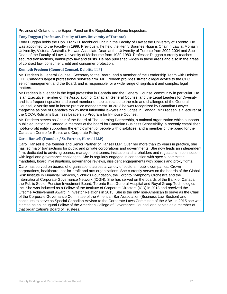Province of Ontario to the Expert Panel on the Regulation of Home Inspectors.

## **Tony Duggan (Professor, Faculty of Law, University of Toronto)**

Tony Duggan holds the Hon. Frank H. Iacobucci Chair in the Faculty of Law at the University of Toronto. He was appointed to the Faculty in 1999. Previously, he held the Henry Bournes Higgins Chair in Law at Monash University, Victoria, Australia. He was Associate Dean at the University of Toronto from 2002-2004 and Sub-Dean of the Faculty of Law, University of Melbourne from 1980-1983. Professor Duggan currently teaches secured transactions, bankruptcy law and trusts. He has published widely in these areas and also in the areas of contract law, consumer credit and consumer protection.

# **Kenneth Fredeen (General Counsel, Deloitte LLP)**

Mr. Fredeen is General Counsel, Secretary to the Board, and a member of the Leadership Team with Deloitte LLP, Canada's largest professional services firm. Mr. Fredeen provides strategic legal advice to the CEO, senior management and the Board, and is responsible for a wide range of significant and complex legal matters.

Mr Fredeen is a leader in the legal profession in Canada and the General Counsel community in particular. He is an Executive member of the Association of Canadian General Counsel and the Legal Leaders for Diversity and is a frequent speaker and panel member on topics related to the role and challenges of the General Counsel, diversity and in house practice management. In 2013 he was recognized by Canadian Lawyer magazine as one of Canada's top 25 most influential lawyers and judges in Canada. Mr Fredeen is a lecturer at the CCCA/Rotmans Business Leadership Program for In-house Counsel.

Mr. Fredeen serves as Chair of the Board of The Learning Partnership, a national organization which supports public education in Canada, a member of the board for Canadian Business SenseAbility, a recently established not-for-profit entity supporting the employment of people with disabilities, and a member of the board for the Canadian Centre for Ethics and Corporate Policy.

# **Carol Hansell (Founder / Sr. Partner, Hansell LLP)**

Carol Hansell is the founder and Senior Partner of Hansell LLP. Over her more than 25 years in practice, she has led major transactions for public and private corporations and governments. She now leads an independent firm, dedicated to advising boards, management teams, institutional shareholders and regulators in connection with legal and governance challenges. She is regularly engaged in connection with special committee mandates, board investigations, governance reviews, dissident engagements with boards and proxy fights.

Carol has served on boards of organizations across a variety of sectors – public companies, Crown corporations, healthcare, not-for-profit and arts organizations. She currently serves on the boards of the Global Risk Institute in Financial Services, SickKids Foundation, the Toronto Symphony Orchestra and the International Corporate Governance Network (ICGN). She has served on the boards of the Bank of Canada, the Public Sector Pension Investment Board, Toronto East General Hospital and Royal Group Technologies Inc. She was inducted as a Fellow of the Institute of Corporate Directors (ICD) in 2013 and received the Lifetime Achievement Award in Investor Relations in 2015. She is the only non-American to serve as the Chair of the Corporate Governance Committee of the American Bar Association (Business Law Section) and continues to serve as Special Canadian Advisor to the Corporate Laws Committee of the ABA. In 2015 she was elected as an inaugural Fellow of the American College of Governance Counsel and serves as a member of that organization's Board of Trustees.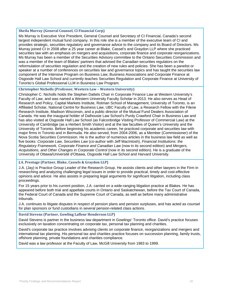# **Sheila Murray (General Counsel, CI Financial Corp)**

Ms Murray is Executive Vice President, General Counsel and Secretary of CI Financial, Canada's second largest independent mutual fund company. In this role she is a member of the executive team of CI and provides strategic, securities regulatory and governance advice to the company and its Board of Directors. Ms Murray joined CI in 2008 after a 25 year career at Blake, Cassel's and Graydon LLP where she practiced securities law with an emphasis on mergers and acquisitions, corporate finance and corporate reorganizations. Ms Murray has been a member of the Securities Advisory committee to the Ontario Securities Commission and was a member of the team of Blakes' partners that advised the Canadian securities regulators on the reformulation of securities regulation and the creation of new rules and policies. She has been a panelist or speaker at a number of conferences on securities law and governance topics and has taught the securities law component of the Intensive Program on Business Law, Business Associations and Corporate Finance at Osgoode Hall Law School and currently teaches Securities Regulation and Corporate Finance at University of Toronto's Global Professional LLM in Business Law Program.

#### **Christopher Nicholls (Professor, Western Law – Western University)**

Christopher C. Nicholls holds the Stephen Dattels Chair in Corporate Finance Law at Western University's Faculty of Law, and was named a Western University Faculty Scholar in 2013. He also serves as Head of Research and Policy, Capital Markets Institute, Rotman School of Management, University of Toronto, is an Affiliated Scholar, National Centre for Business Law, UBC Faculty of Law, a Research Fellow with the Filene Research Institute, Madison Wisconsin, and a public director of the Mutual Fund Dealers Association of Canada. He was the inaugural holder of Dalhousie Law School's Purdy Crawford Chair in Business Law and has also visited at Osgoode Hall Law School (as Falconbridge Visiting Professor of Commercial Law) at the University of Cambridge (as a Herbert Smith Visitor) and at the law faculties of Queen's University and the University of Toronto. Before beginning his academic career, he practiced corporate and securities law with major firms in Toronto and in Bermuda. He also served, from 2004-2006, as a Member (Commissioner) of the Nova Scotia Securities Commission. He is the author of numerous articles in the business law field as well as five books: *Corporate Law, Securities Law* (co-author with Jeff MacIntosh), *Financial Institutions: the Regulatory Framework, Corporate Finance and Canadian Law* (now in its second edition) and *Mergers, Acquisitions, and Other Changes in Corporate Control* (now in its second edition). He is a graduate of the University of Ottawa/Université d'Ottawa, Osgoode Hall Law School and Harvard University.

# **J.A. Prestage (Partner, Blake, Cassels & Graydon LLP)**

J.A. (Jay) is Practice Group Leader of the Research Group. He assists clients and other lawyers in the Firm in researching and analyzing challenging legal issues in order to provide practical, timely and cost-effective opinions and advice. He also assists in preparing legal arguments for significant litigation, including class proceedings.

For 15 years prior to his current position, J.A. carried on a wide-ranging litigation practice at Blakes. He has appeared before both trial and appellate courts in Ontario and Saskatchewan, before the Tax Court of Canada, the Federal Court of Canada and the Supreme Court of Canada, as well as before many administrative tribunals.

J.A. continues to litigate disputes in respect of pension plans and pension surpluses, and has acted as counsel for plan sponsors or fund custodians in several pension-related class actions.

#### **David Stevens (Partner, Gowling Lafleur Henderson LLP)**

David Stevens is partner in the business law department in Gowlings' Toronto office. David's practice focuses exclusively on taxation concentrating on corporate tax, personal tax planning and charities.

David's corporate tax practice involves advising clients on corporate finance, reorganizations and mergers and international tax planning. His personal tax and charities practice focuses on succession planning, family trusts, offshore planning, private foundations and charities compliance.

David was a law professor at the Faculty of Law, McGill University from 1983 to 1999.